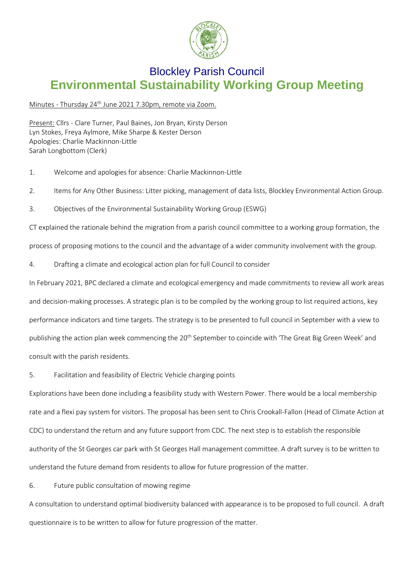

## Blockley Parish Council **Environmental Sustainability Working Group Meeting**

## Minutes - Thursday 24<sup>th</sup> June 2021 7.30pm, remote via Zoom.

Present: Cllrs - Clare Turner, Paul Baines, Jon Bryan, Kirsty Derson Lyn Stokes, Freya Aylmore, Mike Sharpe & Kester Derson Apologies: Charlie Mackinnon-Little Sarah Longbottom (Clerk)

- 1. Welcome and apologies for absence: Charlie Mackinnon-Little
- 2. Items for Any Other Business: Litter picking, management of data lists, Blockley Environmental Action Group.
- 3. Objectives of the Environmental Sustainability Working Group (ESWG)

CT explained the rationale behind the migration from a parish council committee to a working group formation, the

process of proposing motions to the council and the advantage of a wider community involvement with the group.

4. Drafting a climate and ecological action plan for full Council to consider

In February 2021, BPC declared a climate and ecological emergency and made commitments to review all work areas and decision-making processes. A strategic plan is to be compiled by the working group to list required actions, key performance indicators and time targets. The strategy is to be presented to full council in September with a view to publishing the action plan week commencing the 20<sup>th</sup> September to coincide with 'The Great Big Green Week' and consult with the parish residents.

5. Facilitation and feasibility of Electric Vehicle charging points

Explorations have been done including a feasibility study with Western Power. There would be a local membership rate and a flexi pay system for visitors. The proposal has been sent to Chris Crookall-Fallon (Head of Climate Action at CDC) to understand the return and any future support from CDC. The next step is to establish the responsible authority of the St Georges car park with St Georges Hall management committee. A draft survey is to be written to understand the future demand from residents to allow for future progression of the matter.

6. Future public consultation of mowing regime

A consultation to understand optimal biodiversity balanced with appearance is to be proposed to full council. A draft questionnaire is to be written to allow for future progression of the matter.